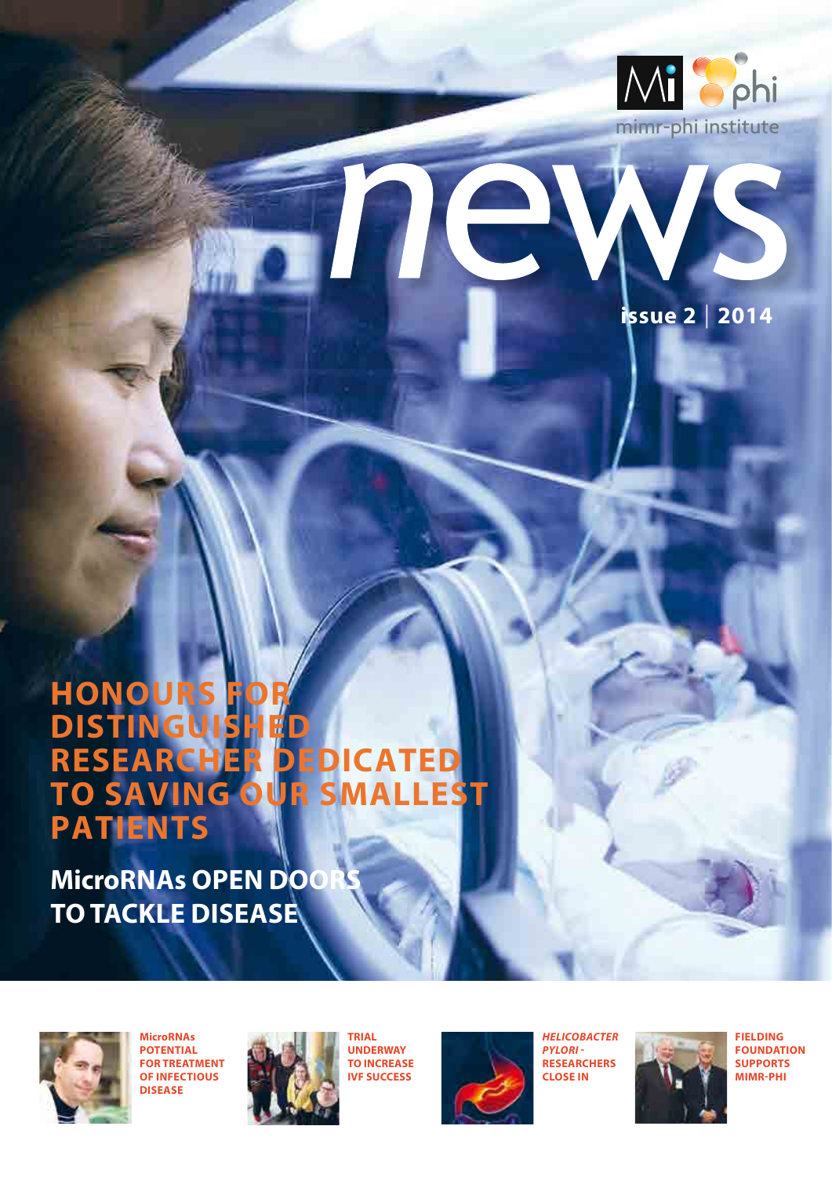



### **honours for distinguished DISTINGUISHED<br>RESEARCHER DEDICATED to saving our smallest patients**

**MicroRNAs OPEN DOO to tackle disease**







**trial underway to increase ivf success**



*Helicobacter pylori* **researchers close in**



**fielding foundation supports MIMR-PHI**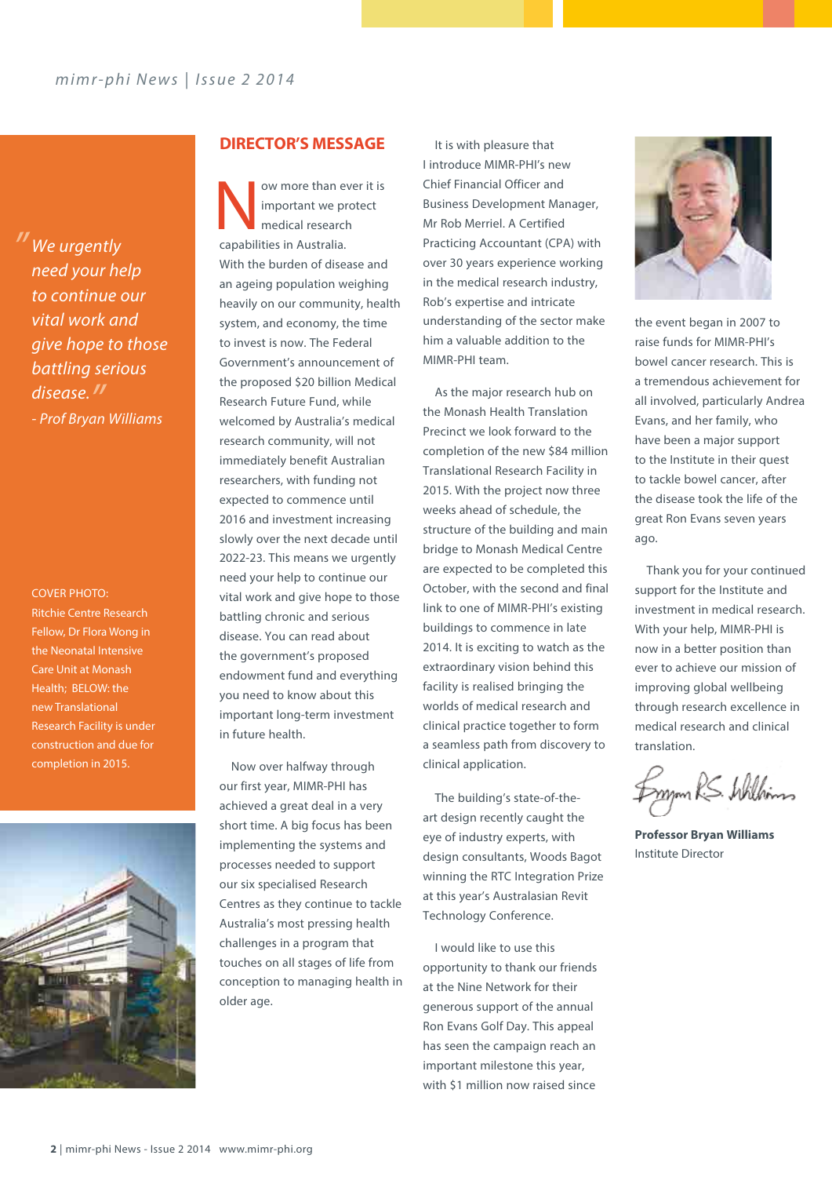*We urgently " need your help to continue our vital work and give hope to those battling serious disease. " - Prof Bryan Williams*

Cover PHOTO: Ritchie Centre Research Fellow, Dr Flora Wong in the Neonatal Intensive Care Unit at Monash Health; BELOW: the new Translational Research Facility is under construction and due for completion in 2015.



### **DIRECTOR'S MESSAGE** It is with pleasure that

Now more than ever it is<br>
important we protect<br>
medical research<br>
manufacture important we protect medical research capabilities in Australia. With the burden of disease and an ageing population weighing heavily on our community, health system, and economy, the time to invest is now. The Federal Government's announcement of the proposed \$20 billion Medical Research Future Fund, while welcomed by Australia's medical research community, will not immediately benefit Australian researchers, with funding not expected to commence until 2016 and investment increasing slowly over the next decade until 2022-23. This means we urgently need your help to continue our vital work and give hope to those battling chronic and serious disease. You can read about the government's proposed endowment fund and everything you need to know about this important long-term investment in future health.

Now over halfway through our first year, MIMR-PHI has achieved a great deal in a very short time. A big focus has been implementing the systems and processes needed to support our six specialised Research Centres as they continue to tackle Australia's most pressing health challenges in a program that touches on all stages of life from conception to managing health in older age.

I introduce MIMR-PHI's new Chief Financial Officer and Business Development Manager, Mr Rob Merriel. A Certified Practicing Accountant (CPA) with over 30 years experience working in the medical research industry, Rob's expertise and intricate understanding of the sector make him a valuable addition to the MIMR-PHI team.

As the major research hub on the Monash Health Translation Precinct we look forward to the completion of the new \$84 million Translational Research Facility in 2015. With the project now three weeks ahead of schedule, the structure of the building and main bridge to Monash Medical Centre are expected to be completed this October, with the second and final link to one of MIMR-PHI's existing buildings to commence in late 2014. It is exciting to watch as the extraordinary vision behind this facility is realised bringing the worlds of medical research and clinical practice together to form a seamless path from discovery to clinical application.

The building's state-of-theart design recently caught the eye of industry experts, with design consultants, Woods Bagot winning the RTC Integration Prize at this year's Australasian Revit Technology Conference.

I would like to use this opportunity to thank our friends at the Nine Network for their generous support of the annual Ron Evans Golf Day. This appeal has seen the campaign reach an important milestone this year, with \$1 million now raised since



the event began in 2007 to raise funds for MIMR-PHI's bowel cancer research. This is a tremendous achievement for all involved, particularly Andrea Evans, and her family, who have been a major support to the Institute in their quest to tackle bowel cancer, after the disease took the life of the great Ron Evans seven years ago.

Thank you for your continued support for the Institute and investment in medical research. With your help, MIMR-PHI is now in a better position than ever to achieve our mission of improving global wellbeing through research excellence in medical research and clinical translation.

mm RS. Williams

**Professor Bryan Williams** Institute Director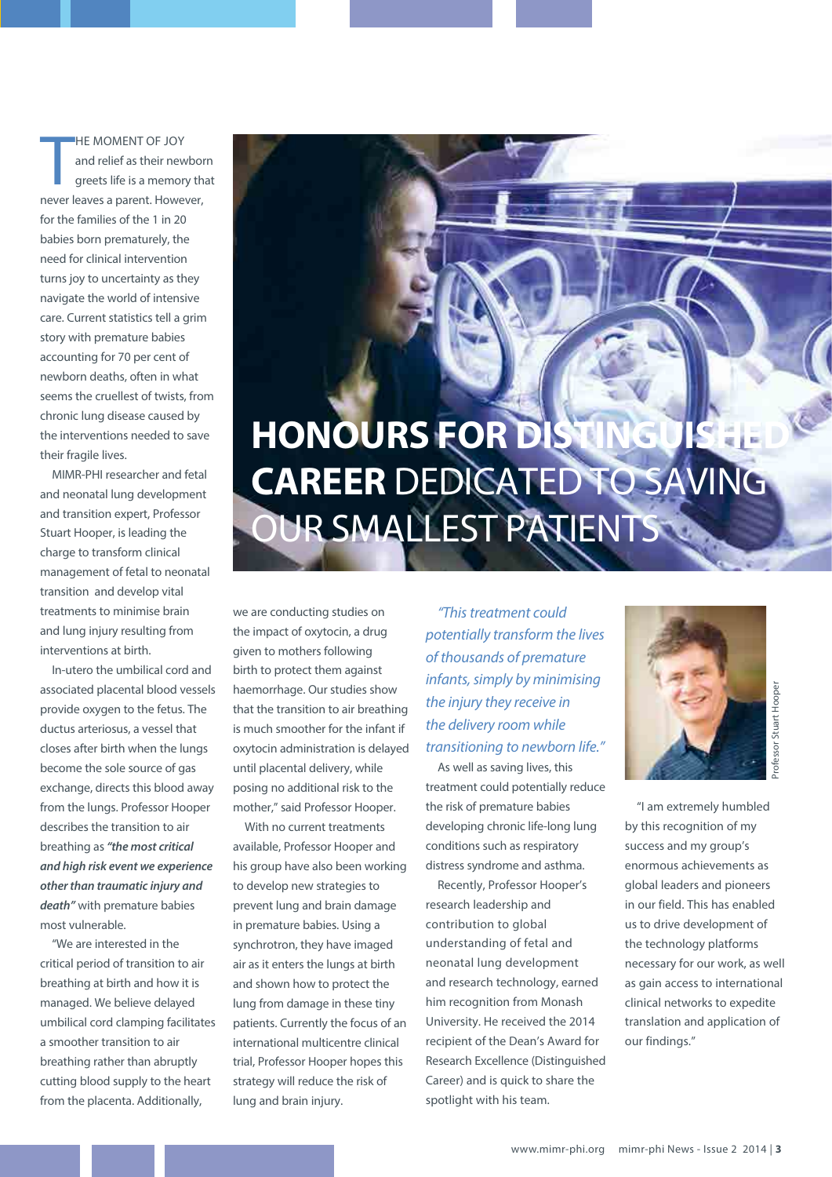T he moment of joy and relief as their newborn greets life is a memory that never leaves a parent. However, for the families of the 1 in 20 babies born prematurely, the need for clinical intervention turns joy to uncertainty as they navigate the world of intensive care. Current statistics tell a grim story with premature babies accounting for 70 per cent of newborn deaths, often in what seems the cruellest of twists, from chronic lung disease caused by the interventions needed to save their fragile lives.

MIMR-PHI researcher and fetal and neonatal lung development and transition expert, Professor Stuart Hooper, is leading the charge to transform clinical management of fetal to neonatal transition and develop vital treatments to minimise brain and lung injury resulting from interventions at birth.

In-utero the umbilical cord and associated placental blood vessels provide oxygen to the fetus. The ductus arteriosus, a vessel that closes after birth when the lungs become the sole source of gas exchange, directs this blood away from the lungs. Professor Hooper describes the transition to air breathing as *"the most critical and high risk event we experience other than traumatic injury and death"* with premature babies most vulnerable.

"We are interested in the critical period of transition to air breathing at birth and how it is managed. We believe delayed umbilical cord clamping facilitates a smoother transition to air breathing rather than abruptly cutting blood supply to the heart from the placenta. Additionally,

# **HONOURS FOR DIST career** dedicated to saving OUR SMALLEST PATIENTS

we are conducting studies on the impact of oxytocin, a drug given to mothers following birth to protect them against haemorrhage. Our studies show that the transition to air breathing is much smoother for the infant if oxytocin administration is delayed until placental delivery, while posing no additional risk to the mother," said Professor Hooper.

With no current treatments available, Professor Hooper and his group have also been working to develop new strategies to prevent lung and brain damage in premature babies. Using a synchrotron, they have imaged air as it enters the lungs at birth and shown how to protect the lung from damage in these tiny patients. Currently the focus of an international multicentre clinical trial, Professor Hooper hopes this strategy will reduce the risk of lung and brain injury.

*"This treatment could potentially transform the lives of thousands of premature infants, simply by minimising the injury they receive in the delivery room while transitioning to newborn life."*

As well as saving lives, this treatment could potentially reduce the risk of premature babies developing chronic life-long lung conditions such as respiratory distress syndrome and asthma.

Recently, Professor Hooper's research leadership and contribution to global understanding of fetal and neonatal lung development and research technology, earned him recognition from Monash University. He received the 2014 recipient of the Dean's Award for Research Excellence (Distinguished Career) and is quick to share the spotlight with his team.



"I am extremely humbled by this recognition of my success and my group's enormous achievements as global leaders and pioneers in our field. This has enabled us to drive development of the technology platforms necessary for our work, as well as gain access to international clinical networks to expedite translation and application of our findings."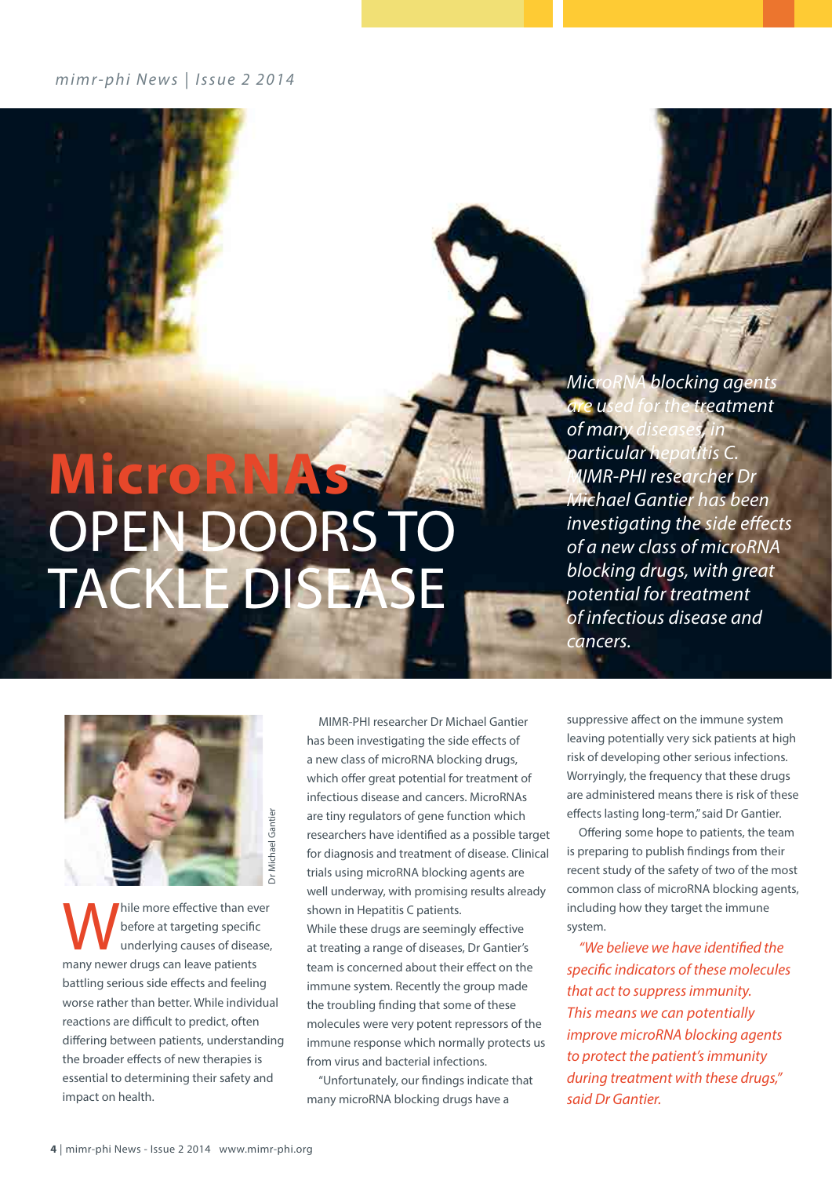*mimr-phi News* | *Issue 2 2014*

# MicroRN<sub>4</sub> OPEN DOORS T tackle disease

*MicroRNA blocking agents are used for the treatment*  of many *particular hepatitis C. MIMR-PHI researcher Dr Michael Gantier has been investigating the side effects of a new class of microRNA blocking drugs, with great potential for treatment of infectious disease and cancers.* 



hile more effective than ever before at targeting specific underlying causes of disease, many newer drugs can leave patients battling serious side effects and feeling worse rather than better. While individual reactions are difficult to predict, often differing between patients, understanding the broader effects of new therapies is essential to determining their safety and impact on health.

MIMR-PHI researcher Dr Michael Gantier has been investigating the side effects of a new class of microRNA blocking drugs, which offer great potential for treatment of infectious disease and cancers. MicroRNAs are tiny regulators of gene function which researchers have identified as a possible target for diagnosis and treatment of disease. Clinical trials using microRNA blocking agents are well underway, with promising results already shown in Hepatitis C patients. While these drugs are seemingly effective at treating a range of diseases, Dr Gantier's team is concerned about their effect on the immune system. Recently the group made the troubling finding that some of these molecules were very potent repressors of the immune response which normally protects us from virus and bacterial infections.

"Unfortunately, our findings indicate that many microRNA blocking drugs have a

suppressive affect on the immune system leaving potentially very sick patients at high risk of developing other serious infections. Worryingly, the frequency that these drugs are administered means there is risk of these effects lasting long-term," said Dr Gantier.

Offering some hope to patients, the team is preparing to publish findings from their recent study of the safety of two of the most common class of microRNA blocking agents, including how they target the immune system.

*"We believe we have identified the specific indicators of these molecules that act to suppress immunity. This means we can potentially improve microRNA blocking agents to protect the patient's immunity during treatment with these drugs," said Dr Gantier.*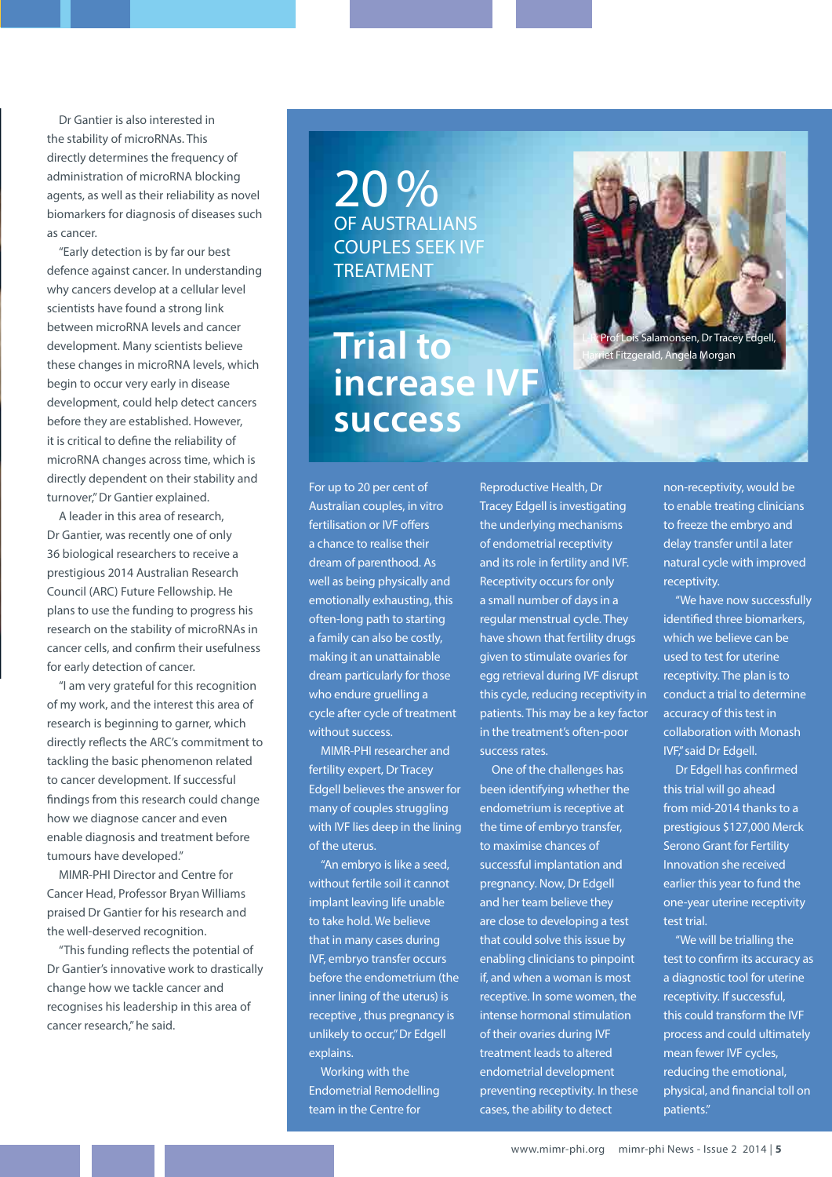Dr Gantier is also interested in the stability of microRNAs. This directly determines the frequency of administration of microRNA blocking agents, as well as their reliability as novel biomarkers for diagnosis of diseases such as cancer.

"Early detection is by far our best defence against cancer. In understanding why cancers develop at a cellular level scientists have found a strong link between microRNA levels and cancer development. Many scientists believe these changes in microRNA levels, which begin to occur very early in disease development, could help detect cancers before they are established. However, it is critical to define the reliability of microRNA changes across time, which is directly dependent on their stability and turnover," Dr Gantier explained.

A leader in this area of research, Dr Gantier, was recently one of only 36 biological researchers to receive a prestigious 2014 Australian Research Council (ARC) Future Fellowship. He plans to use the funding to progress his research on the stability of microRNAs in cancer cells, and confirm their usefulness for early detection of cancer.

"I am very grateful for this recognition of my work, and the interest this area of research is beginning to garner, which directly reflects the ARC's commitment to tackling the basic phenomenon related to cancer development. If successful findings from this research could change how we diagnose cancer and even enable diagnosis and treatment before tumours have developed."

MIMR-PHI Director and Centre for Cancer Head, Professor Bryan Williams praised Dr Gantier for his research and the well-deserved recognition.

"This funding reflects the potential of Dr Gantier's innovative work to drastically change how we tackle cancer and recognises his leadership in this area of cancer research," he said.

20 % of Australians couples seek IVF **TREATMENT** 

**Trial to increase IVF success**



For up to 20 per cent of Australian couples, in vitro fertilisation or IVF offers a chance to realise their dream of parenthood. As well as being physically and emotionally exhausting, this often-long path to starting a family can also be costly, making it an unattainable dream particularly for those who endure gruelling a cycle after cycle of treatment without success.

MIMR-PHI researcher and fertility expert, Dr Tracey Edgell believes the answer for many of couples struggling with IVF lies deep in the lining of the uterus.

"An embryo is like a seed, without fertile soil it cannot implant leaving life unable to take hold. We believe that in many cases during IVF, embryo transfer occurs before the endometrium (the inner lining of the uterus) is receptive , thus pregnancy is unlikely to occur," Dr Edgell explains.

Working with the Endometrial Remodelling team in the Centre for

Reproductive Health, Dr Tracey Edgell is investigating the underlying mechanisms of endometrial receptivity and its role in fertility and IVF. Receptivity occurs for only a small number of days in a regular menstrual cycle. They have shown that fertility drugs given to stimulate ovaries for egg retrieval during IVF disrupt this cycle, reducing receptivity in patients. This may be a key factor in the treatment's often-poor success rates.

One of the challenges has been identifying whether the endometrium is receptive at the time of embryo transfer, to maximise chances of successful implantation and pregnancy. Now, Dr Edgell and her team believe they are close to developing a test that could solve this issue by enabling clinicians to pinpoint if, and when a woman is most receptive. In some women, the intense hormonal stimulation of their ovaries during IVF treatment leads to altered endometrial development preventing receptivity. In these cases, the ability to detect

non-receptivity, would be to enable treating clinicians to freeze the embryo and delay transfer until a later natural cycle with improved receptivity.

"We have now successfully identified three biomarkers, which we believe can be used to test for uterine receptivity. The plan is to conduct a trial to determine accuracy of this test in collaboration with Monash IVF," said Dr Edgell.

Dr Edgell has confirmed this trial will go ahead from mid-2014 thanks to a prestigious \$127,000 Merck Serono Grant for Fertility Innovation she received earlier this year to fund the one-year uterine receptivity test trial.

"We will be trialling the test to confirm its accuracy as a diagnostic tool for uterine receptivity. If successful, this could transform the IVF process and could ultimately mean fewer IVF cycles, reducing the emotional, physical, and financial toll on patients."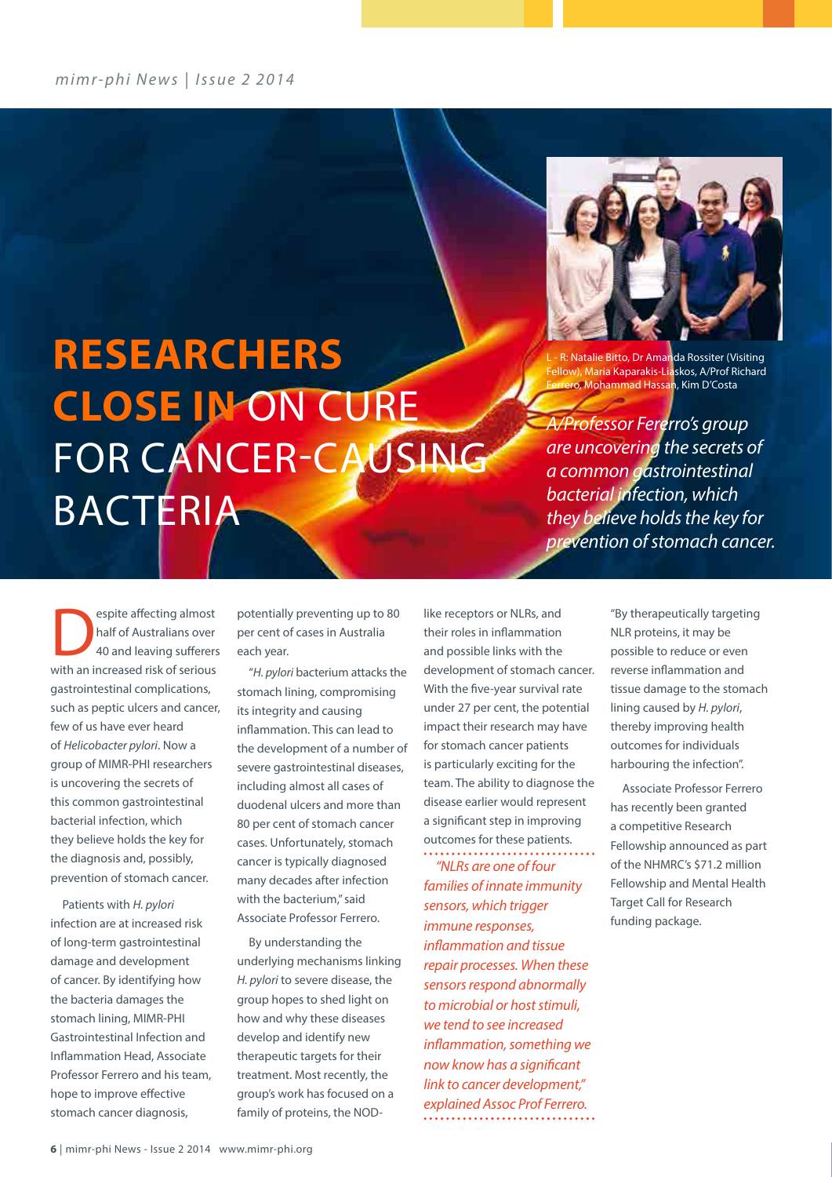*mimr-phi News* | *Issue 2 2014*



- R: Natalie Bitto, Dr Amanda Rossiter (Visiting Fellow), Maria Kaparakis-Liaskos, A/Prof Richard ero, Mohammad Hassan, Kim D'Costa

*A/Professor Fererro's group are uncovering the secrets of a common gastrointestinal bacterial infection, which they believe holds the key for prevention of stomach cancer.* 

**Researchers close in** on cure FOR CANCER-CAUSING **BACTERIA** 

Experience affecting almost<br>
half of Australians over<br>
40 and leaving sufferers half of Australians over 40 and leaving sufferers with an increased risk of serious gastrointestinal complications, such as peptic ulcers and cancer, few of us have ever heard of *Helicobacter pylori*. Now a group of MIMR-PHI researchers is uncovering the secrets of this common gastrointestinal bacterial infection, which they believe holds the key for the diagnosis and, possibly, prevention of stomach cancer.

Patients with *H. pylori* infection are at increased risk of long-term gastrointestinal damage and development of cancer. By identifying how the bacteria damages the stomach lining, MIMR-PHI Gastrointestinal Infection and Inflammation Head, Associate Professor Ferrero and his team, hope to improve effective stomach cancer diagnosis,

potentially preventing up to 80 per cent of cases in Australia each year.

"*H. pylori* bacterium attacks the stomach lining, compromising its integrity and causing inflammation. This can lead to the development of a number of severe gastrointestinal diseases, including almost all cases of duodenal ulcers and more than 80 per cent of stomach cancer cases. Unfortunately, stomach cancer is typically diagnosed many decades after infection with the bacterium," said Associate Professor Ferrero.

By understanding the underlying mechanisms linking *H. pylori* to severe disease, the group hopes to shed light on how and why these diseases develop and identify new therapeutic targets for their treatment. Most recently, the group's work has focused on a family of proteins, the NOD-

like receptors or NLRs, and their roles in inflammation and possible links with the development of stomach cancer. With the five-year survival rate under 27 per cent, the potential impact their research may have for stomach cancer patients is particularly exciting for the team. The ability to diagnose the disease earlier would represent a significant step in improving outcomes for these patients.

*"NLRs are one of four families of innate immunity sensors, which trigger immune responses, inflammation and tissue repair processes. When these sensors respond abnormally to microbial or host stimuli, we tend to see increased inflammation, something we now know has a significant link to cancer development," explained Assoc Prof Ferrero.*

"By therapeutically targeting NLR proteins, it may be possible to reduce or even reverse inflammation and tissue damage to the stomach lining caused by *H. pylori*, thereby improving health outcomes for individuals harbouring the infection".

Associate Professor Ferrero has recently been granted a competitive Research Fellowship announced as part of the NHMRC's \$71.2 million Fellowship and Mental Health Target Call for Research funding package.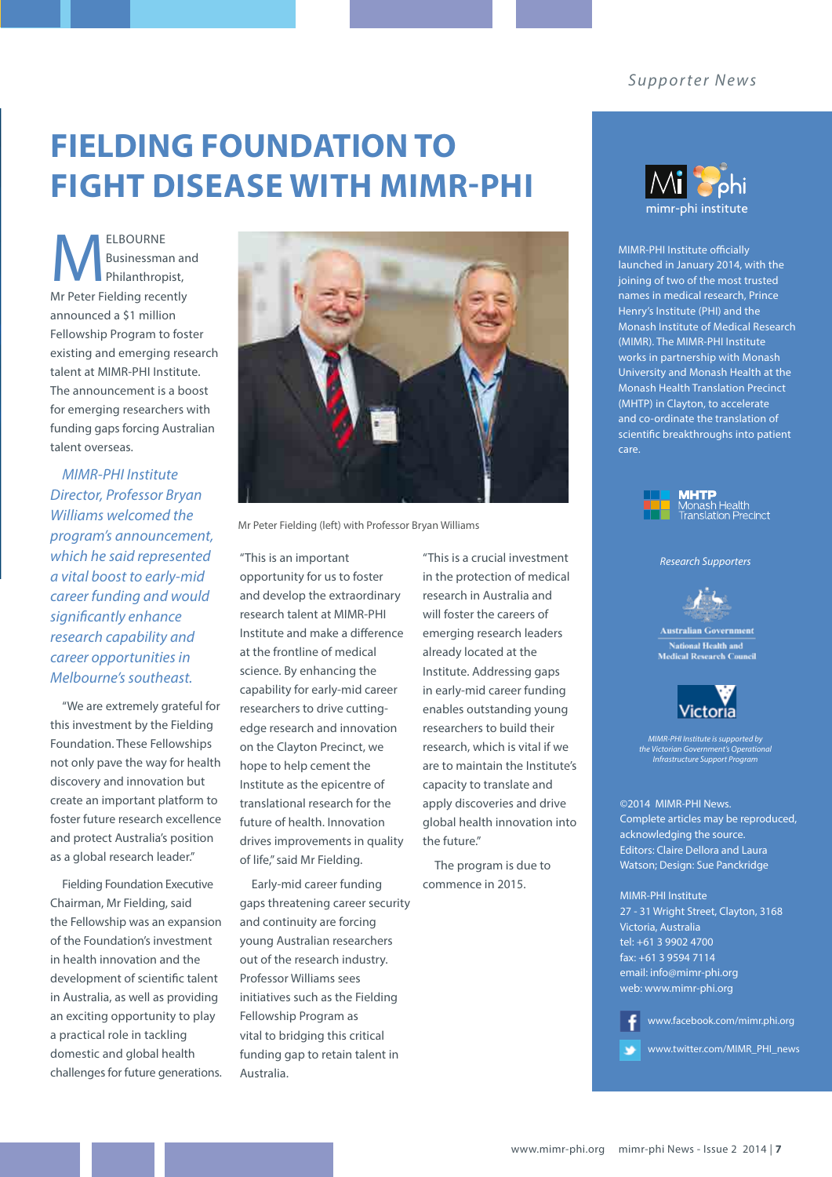### **Fielding Foundation to fight disease with MIMR-PHI**

 $M_{\tiny \rm P}^{\tiny \rm E}$ Businessman and Philanthropist, Mr Peter Fielding recently announced a \$1 million Fellowship Program to foster existing and emerging research talent at MIMR-PHI Institute. The announcement is a boost for emerging researchers with funding gaps forcing Australian talent overseas.

*MIMR-PHI Institute Director, Professor Bryan Williams welcomed the program's announcement, which he said represented a vital boost to early-mid career funding and would significantly enhance research capability and career opportunities in Melbourne's southeast.*

"We are extremely grateful for this investment by the Fielding Foundation. These Fellowships not only pave the way for health discovery and innovation but create an important platform to foster future research excellence and protect Australia's position as a global research leader."

Fielding Foundation Executive Chairman, Mr Fielding, said the Fellowship was an expansion of the Foundation's investment in health innovation and the development of scientific talent in Australia, as well as providing an exciting opportunity to play a practical role in tackling domestic and global health challenges for future generations.



Mr Peter Fielding (left) with Professor Bryan Williams

"This is an important opportunity for us to foster and develop the extraordinary research talent at MIMR-PHI Institute and make a difference at the frontline of medical science. By enhancing the capability for early-mid career researchers to drive cuttingedge research and innovation on the Clayton Precinct, we hope to help cement the Institute as the epicentre of translational research for the future of health. Innovation drives improvements in quality of life," said Mr Fielding.

Early-mid career funding gaps threatening career security and continuity are forcing young Australian researchers out of the research industry. Professor Williams sees initiatives such as the Fielding Fellowship Program as vital to bridging this critical funding gap to retain talent in Australia.

"This is a crucial investment in the protection of medical research in Australia and will foster the careers of emerging research leaders already located at the Institute. Addressing gaps in early-mid career funding enables outstanding young researchers to build their research, which is vital if we are to maintain the Institute's capacity to translate and apply discoveries and drive global health innovation into the future."

The program is due to commence in 2015.



MIMR-PHI Institute officially launched in January 2014, with the joining of two of the most trusted names in medical research, Prince Henry's Institute (PHI) and the Monash Institute of Medical Research (MIMR). The MIMR-PHI Institute works in partnership with Monash University and Monash Health at the Monash Health Translation Precinct (MHTP) in Clayton, to accelerate and co-ordinate the translation of scientific breakthroughs into patient care.



*Research Supporters*



**Australian Government National Health and<br>Medical Research Council** 



*MIMR-PHI Institute is supported by the Victorian Government's Operational Infrastructure Support Program*

©2014 MIMR-PHI News. Complete articles may be reproduced, acknowledging the source. Editors: Claire Dellora and Laura Watson; Design: Sue Panckridge

MIMR-PHI Institute 27 - 31 Wright Street, Clayton, 3168 Victoria, Australia tel: +61 3 9902 4700 fax: +61 3 9594 7114 email: info@mimr-phi.org web: www.mimr-phi.org

www.facebook.com/mimr.phi.org

www.twitter.com/MIMR\_PHI\_newsy6